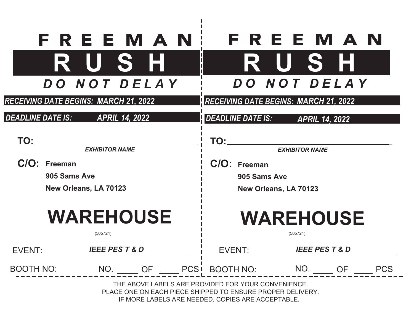|                                       | <b>FREEMAN</b>         |           |                       |                                                                                                                                                                        | FREEMAN               |                          |            |  |
|---------------------------------------|------------------------|-----------|-----------------------|------------------------------------------------------------------------------------------------------------------------------------------------------------------------|-----------------------|--------------------------|------------|--|
|                                       | RUSH                   |           |                       |                                                                                                                                                                        | R U S H               |                          |            |  |
|                                       | DO NOT DELAY           |           | DO NOT DELAY          |                                                                                                                                                                        |                       |                          |            |  |
| RECEIVING DATE BEGINS: MARCH 21, 2022 |                        |           |                       | <b>RECEIVING DATE BEGINS: MARCH 21, 2022</b>                                                                                                                           |                       |                          |            |  |
| DEADLINE DATE IS: APRIL 14, 2022      |                        |           |                       | <b>DEADLINE DATE IS:</b>                                                                                                                                               |                       | <b>APRIL 14, 2022</b>    |            |  |
| TO:_                                  | <b>EXHIBITOR NAME</b>  |           |                       | TO:                                                                                                                                                                    | <b>EXHIBITOR NAME</b> |                          |            |  |
| C/O: Freeman                          |                        |           |                       | C/O: Freeman                                                                                                                                                           |                       |                          |            |  |
| 905 Sams Ave                          |                        |           |                       | 905 Sams Ave                                                                                                                                                           |                       |                          |            |  |
| New Orleans, LA 70123                 |                        |           | New Orleans, LA 70123 |                                                                                                                                                                        |                       |                          |            |  |
|                                       | <b>WAREHOUSE</b>       |           |                       |                                                                                                                                                                        | <b>WAREHOUSE</b>      |                          |            |  |
|                                       | (505724)               |           |                       |                                                                                                                                                                        | (505724)              |                          |            |  |
| EVENT:                                | <b>IEEE PEST&amp;D</b> |           |                       | EVENT:                                                                                                                                                                 |                       | <b>IEEE PEST &amp; D</b> |            |  |
| <b>BOOTH NO:</b>                      | NO.                    | <b>OF</b> | <b>PCS</b>            | BOOTH NO: NO.                                                                                                                                                          |                       | <b>OF</b>                | <b>PCS</b> |  |
|                                       |                        |           |                       | THE ABOVE LABELS ARE PROVIDED FOR YOUR CONVENIENCE.<br>PLACE ONE ON EACH PIECE SHIPPED TO ENSURE PROPER DELIVERY.<br>IF MORE LABELS ARE NEEDED, COPIES ARE ACCEPTABLE. |                       |                          |            |  |